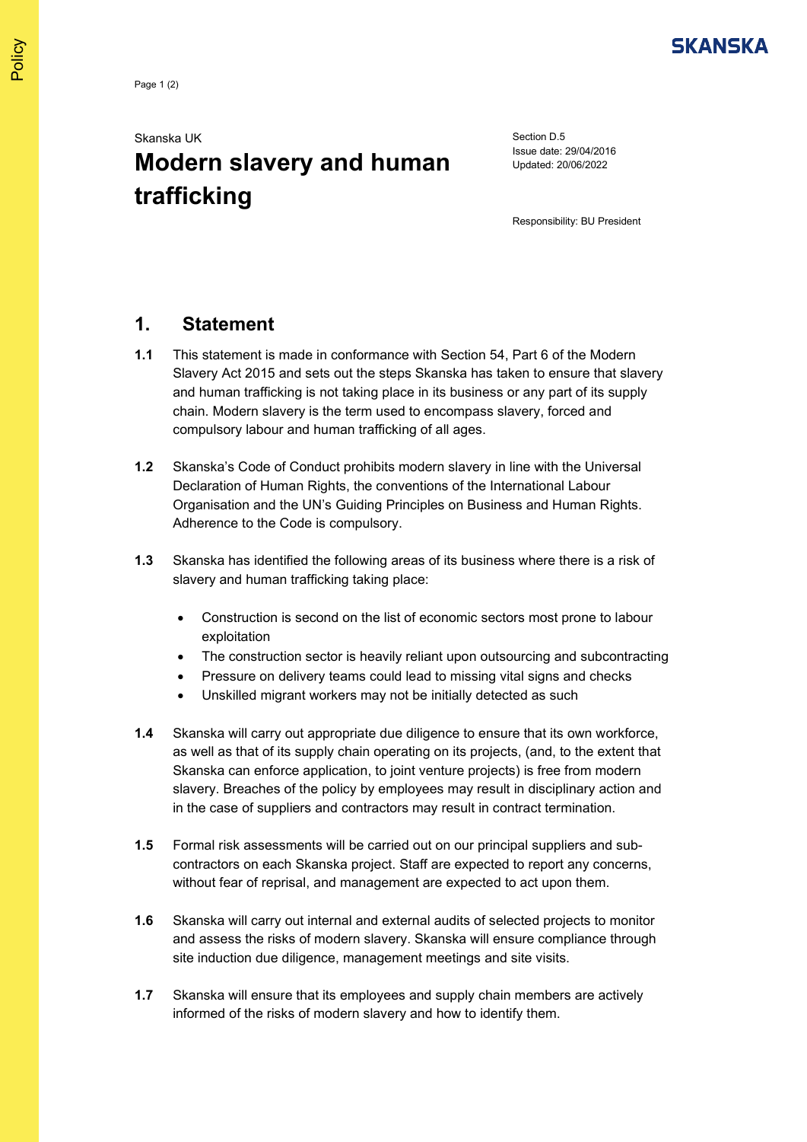

## Skanska UK **Modern slavery and human trafficking**

Section D.5 Issue date: 29/04/2016 Updated: 20/06/2022

Responsibility: BU President

## **1. Statement**

- **1.1** This statement is made in conformance with Section 54, Part 6 of the Modern Slavery Act 2015 and sets out the steps Skanska has taken to ensure that slavery and human trafficking is not taking place in its business or any part of its supply chain. Modern slavery is the term used to encompass slavery, forced and compulsory labour and human trafficking of all ages.
- **1.2** Skanska's Code of Conduct prohibits modern slavery in line with the Universal Declaration of Human Rights, the conventions of the International Labour Organisation and the UN's Guiding Principles on Business and Human Rights. Adherence to the Code is compulsory.
- **1.3** Skanska has identified the following areas of its business where there is a risk of slavery and human trafficking taking place:
	- Construction is second on the list of economic sectors most prone to labour exploitation
	- The construction sector is heavily reliant upon outsourcing and subcontracting
	- Pressure on delivery teams could lead to missing vital signs and checks
	- Unskilled migrant workers may not be initially detected as such
- **1.4** Skanska will carry out appropriate due diligence to ensure that its own workforce, as well as that of its supply chain operating on its projects, (and, to the extent that Skanska can enforce application, to joint venture projects) is free from modern slavery. Breaches of the policy by employees may result in disciplinary action and in the case of suppliers and contractors may result in contract termination.
- **1.5** Formal risk assessments will be carried out on our principal suppliers and subcontractors on each Skanska project. Staff are expected to report any concerns, without fear of reprisal, and management are expected to act upon them.
- **1.6** Skanska will carry out internal and external audits of selected projects to monitor and assess the risks of modern slavery. Skanska will ensure compliance through site induction due diligence, management meetings and site visits.
- **1.7** Skanska will ensure that its employees and supply chain members are actively informed of the risks of modern slavery and how to identify them.